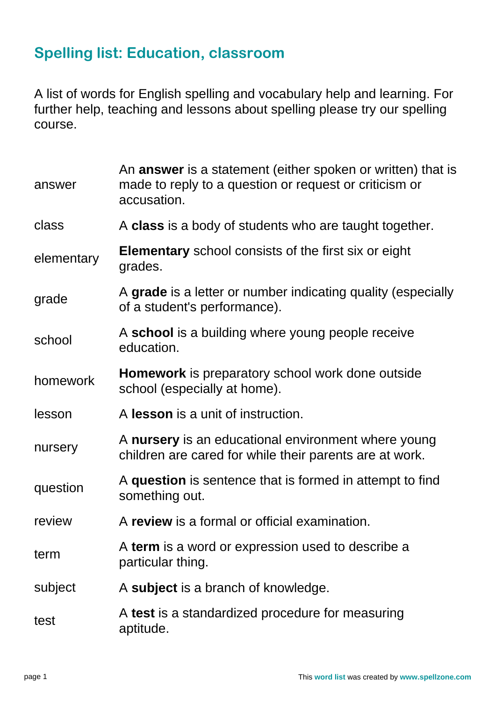## **Spelling list: Education, classroom**

A list of words for English spelling and vocabulary help and learning. For further help, teaching and lessons about spelling please try our spelling course.

| answer     | An answer is a statement (either spoken or written) that is<br>made to reply to a question or request or criticism or<br>accusation. |
|------------|--------------------------------------------------------------------------------------------------------------------------------------|
| class      | A class is a body of students who are taught together.                                                                               |
| elementary | <b>Elementary</b> school consists of the first six or eight<br>grades.                                                               |
| grade      | A grade is a letter or number indicating quality (especially<br>of a student's performance).                                         |
| school     | A school is a building where young people receive<br>education.                                                                      |
| homework   | <b>Homework</b> is preparatory school work done outside<br>school (especially at home).                                              |
| lesson     | A lesson is a unit of instruction.                                                                                                   |
| nursery    | A nursery is an educational environment where young<br>children are cared for while their parents are at work.                       |
| question   | A question is sentence that is formed in attempt to find<br>something out.                                                           |
| review     | A review is a formal or official examination.                                                                                        |
| term       | A term is a word or expression used to describe a<br>particular thing.                                                               |
| subject    | A subject is a branch of knowledge.                                                                                                  |
| test       | A test is a standardized procedure for measuring<br>aptitude.                                                                        |